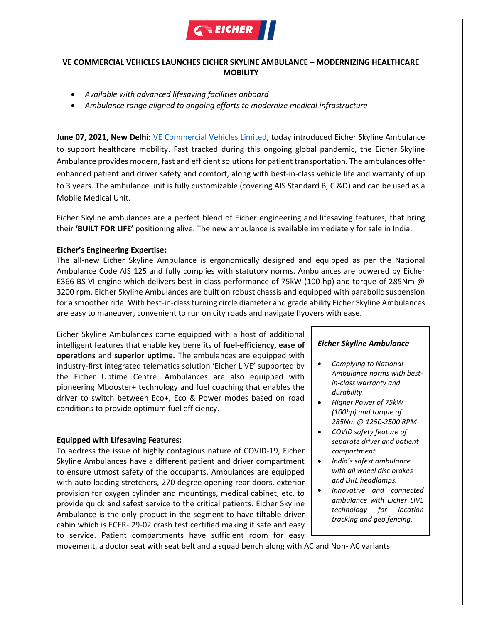

# **VE COMMERCIAL VEHICLES LAUNCHES EICHER SKYLINE AMBULANCE – MODERNIZING HEALTHCARE MOBILITY**

- *Available with advanced lifesaving facilities onboard*
- *Ambulance range aligned to ongoing efforts to modernize medical infrastructure*

**June 07, 2021, New Delhi:** [VE Commercial Vehicles Limited,](http://www.vecv.in/) today introduced Eicher Skyline Ambulance to support healthcare mobility. Fast tracked during this ongoing global pandemic, the Eicher Skyline Ambulance provides modern, fast and efficient solutions for patient transportation. The ambulances offer enhanced patient and driver safety and comfort, along with best-in-class vehicle life and warranty of up to 3 years. The ambulance unit is fully customizable (covering AIS Standard B, C &D) and can be used as a Mobile Medical Unit.

Eicher Skyline ambulances are a perfect blend of Eicher engineering and lifesaving features, that bring their **'BUILT FOR LIFE'** positioning alive. The new ambulance is available immediately for sale in India.

# **Eicher's Engineering Expertise:**

The all-new Eicher Skyline Ambulance is ergonomically designed and equipped as per the National Ambulance Code AIS 125 and fully complies with statutory norms. Ambulances are powered by Eicher E366 BS-VI engine which delivers best in class performance of 75kW (100 hp) and torque of 285Nm @ 3200 rpm. Eicher Skyline Ambulances are built on robust chassis and equipped with parabolic suspension for a smoother ride. With best-in-classturning circle diameter and grade ability Eicher Skyline Ambulances are easy to maneuver, convenient to run on city roads and navigate flyovers with ease.

Eicher Skyline Ambulances come equipped with a host of additional intelligent features that enable key benefits of **fuel-efficiency, ease of operations** and **superior uptime.** The ambulances are equipped with industry-first integrated telematics solution 'Eicher LIVE' supported by the Eicher Uptime Centre. Ambulances are also equipped with pioneering Mbooster+ technology and fuel coaching that enables the driver to switch between Eco+, Eco & Power modes based on road conditions to provide optimum fuel efficiency.

### **Equipped with Lifesaving Features:**

To address the issue of highly contagious nature of COVID-19, Eicher Skyline Ambulances have a different patient and driver compartment to ensure utmost safety of the occupants. Ambulances are equipped with auto loading stretchers, 270 degree opening rear doors, exterior provision for oxygen cylinder and mountings, medical cabinet, etc. to provide quick and safest service to the critical patients. Eicher Skyline Ambulance is the only product in the segment to have tiltable driver cabin which is ECER- 29-02 crash test certified making it safe and easy to service. Patient compartments have sufficient room for easy

### *Eicher Skyline Ambulance*

- *Complying to National Ambulance norms with bestin-class warranty and durability*
- *Higher Power of 75kW (100hp) and torque of 285Nm @ 1250-2500 RPM*
- *COVID safety feature of separate driver and patient compartment.*
- *India's safest ambulance with all wheel disc brakes and DRL headlamps.*
- *Innovative and connected ambulance with Eicher LIVE technology for location tracking and geo fencing.*

movement, a doctor seat with seat belt and a squad bench along with AC and Non- AC variants.